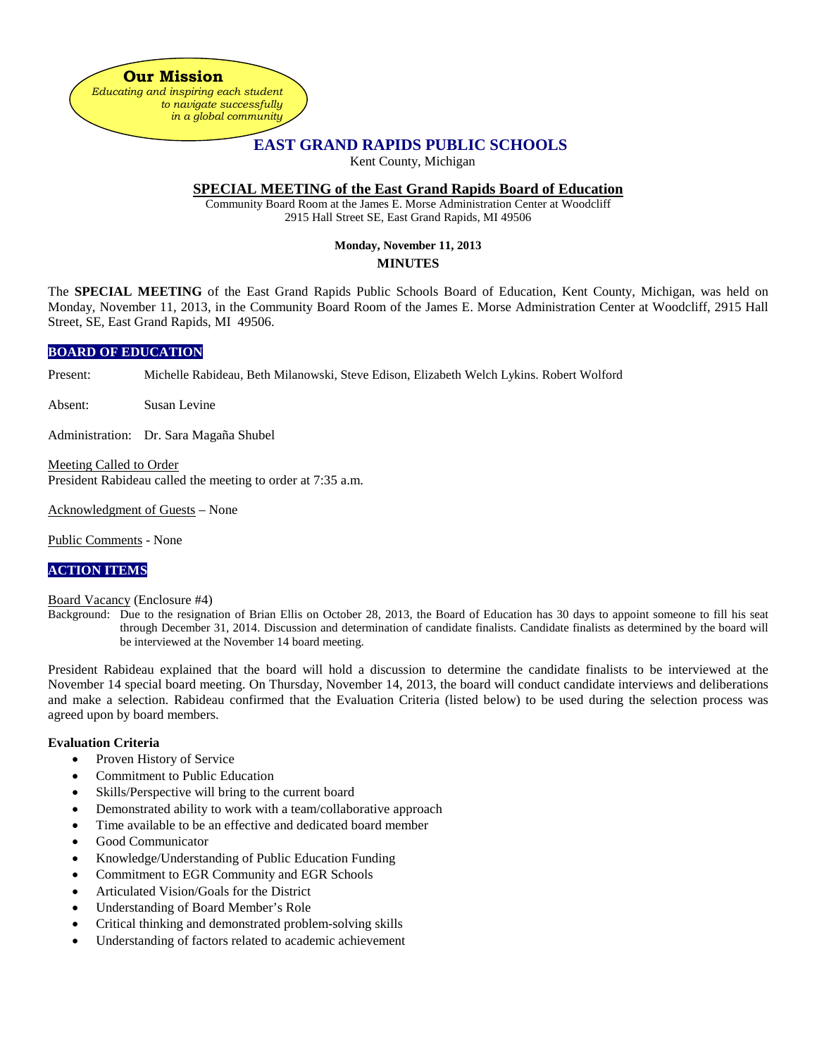**Our Mission** *Educating and inspiring each student to navigate successfully in a global community*

# **EAST GRAND RAPIDS PUBLIC SCHOOLS**

Kent County, Michigan

# **SPECIAL MEETING of the East Grand Rapids Board of Education**

Community Board Room at the James E. Morse Administration Center at Woodcliff 2915 Hall Street SE, East Grand Rapids, MI 49506

# **Monday, November 11, 2013**

#### **MINUTES**

The **SPECIAL MEETING** of the East Grand Rapids Public Schools Board of Education, Kent County, Michigan, was held on Monday, November 11, 2013, in the Community Board Room of the James E. Morse Administration Center at Woodcliff, 2915 Hall Street, SE, East Grand Rapids, MI 49506.

#### **BOARD OF EDUCATION**

Present: Michelle Rabideau, Beth Milanowski, Steve Edison, Elizabeth Welch Lykins. Robert Wolford

Absent: Susan Levine

Administration: Dr. Sara Magaña Shubel

Meeting Called to Order President Rabideau called the meeting to order at 7:35 a.m.

Acknowledgment of Guests – None

Public Comments - None

## **ACTION ITEMS**

#### Board Vacancy (Enclosure #4)

Background: Due to the resignation of Brian Ellis on October 28, 2013, the Board of Education has 30 days to appoint someone to fill his seat through December 31, 2014. Discussion and determination of candidate finalists. Candidate finalists as determined by the board will be interviewed at the November 14 board meeting.

President Rabideau explained that the board will hold a discussion to determine the candidate finalists to be interviewed at the November 14 special board meeting. On Thursday, November 14, 2013, the board will conduct candidate interviews and deliberations and make a selection. Rabideau confirmed that the Evaluation Criteria (listed below) to be used during the selection process was agreed upon by board members.

#### **Evaluation Criteria**

- Proven History of Service
- Commitment to Public Education
- Skills/Perspective will bring to the current board
- Demonstrated ability to work with a team/collaborative approach
- Time available to be an effective and dedicated board member
- Good Communicator
- Knowledge/Understanding of Public Education Funding
- Commitment to EGR Community and EGR Schools
- Articulated Vision/Goals for the District
- Understanding of Board Member's Role
- Critical thinking and demonstrated problem-solving skills
- Understanding of factors related to academic achievement